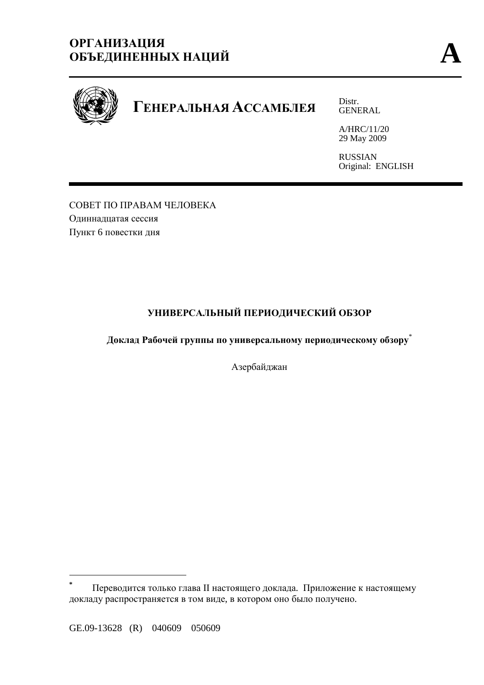# **ОРГАНИЗАЦИЯ ОБЪЕДИНЕННЫХ НАЦИЙ A**



# **ГЕНЕРАЛЬНАЯ АССАМБЛЕЯ** Distr.

GENERAL

A/HRC/11/20 29 May 2009

RUSSIAN Original: ENGLISH

СОВЕТ ПО ПРАВАМ ЧЕЛОВЕКА Одиннадцатая сессия Пункт 6 повестки дня

# **УНИВЕРСАЛЬНЫЙ ПЕРИОДИЧЕСКИЙ ОБЗОР**

**Доклад Рабочей группы по универсальному периодическому обзору**\*

Азербайджан

 $\overline{a}$ 

**<sup>\*</sup>** Переводится только глава II настоящего доклада. Приложение к настоящему докладу распространяется в том виде, в котором оно было получено.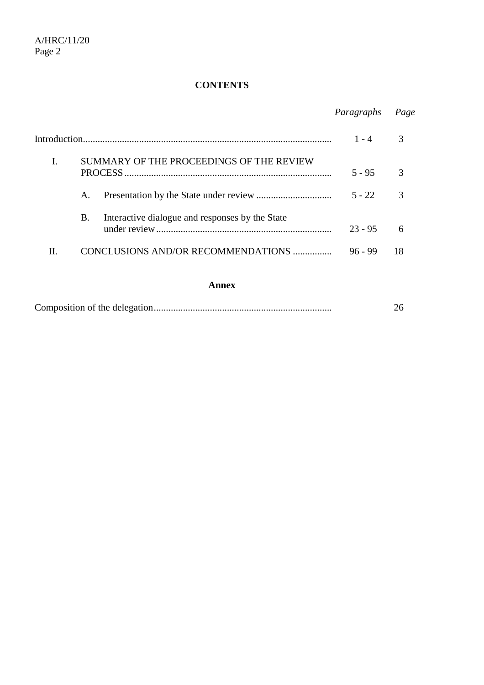## **CONTENTS**

## *Paragraphs Page*

|    |                                          |                                                 | $1 - 4$   |    |
|----|------------------------------------------|-------------------------------------------------|-----------|----|
| I. | SUMMARY OF THE PROCEEDINGS OF THE REVIEW |                                                 | $5 - 95$  |    |
|    | A.                                       |                                                 | $5 - 22$  |    |
|    | В.                                       | Interactive dialogue and responses by the State | $23 - 95$ |    |
| H. |                                          | CONCLUSIONS AND/OR RECOMMENDATIONS              | $96 - 99$ | 18 |
|    |                                          | A nnov                                          |           |    |

#### **Annex**

|--|--|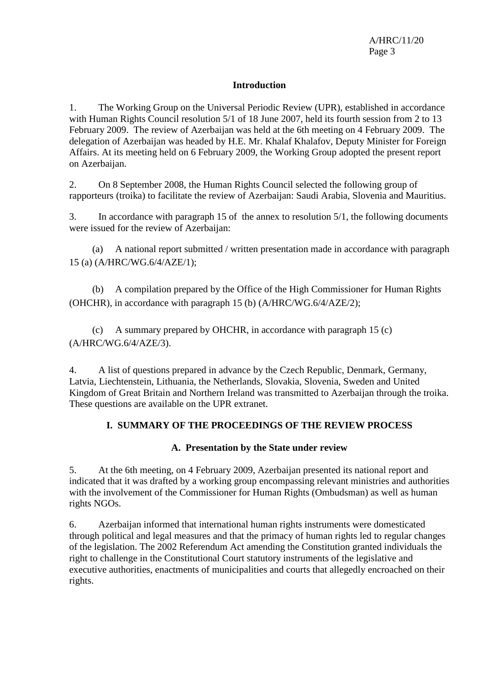#### **Introduction**

1. The Working Group on the Universal Periodic Review (UPR), established in accordance with Human Rights Council resolution 5/1 of 18 June 2007, held its fourth session from 2 to 13 February 2009. The review of Azerbaijan was held at the 6th meeting on 4 February 2009. The delegation of Azerbaijan was headed by H.E. Mr. Khalaf Khalafov, Deputy Minister for Foreign Affairs. At its meeting held on 6 February 2009, the Working Group adopted the present report on Azerbaijan.

2. On 8 September 2008, the Human Rights Council selected the following group of rapporteurs (troika) to facilitate the review of Azerbaijan: Saudi Arabia, Slovenia and Mauritius.

3. In accordance with paragraph 15 of the annex to resolution 5/1, the following documents were issued for the review of Azerbaijan:

 (a) A national report submitted / written presentation made in accordance with paragraph 15 (a) (A/HRC/WG.6/4/AZE/1);

 (b) A compilation prepared by the Office of the High Commissioner for Human Rights (OHCHR), in accordance with paragraph 15 (b) (A/HRC/WG.6/4/AZE/2);

 (c) A summary prepared by OHCHR, in accordance with paragraph 15 (c) (A/HRC/WG.6/4/AZE/3).

4. A list of questions prepared in advance by the Czech Republic, Denmark, Germany, Latvia, Liechtenstein, Lithuania, the Netherlands, Slovakia, Slovenia, Sweden and United Kingdom of Great Britain and Northern Ireland was transmitted to Azerbaijan through the troika. These questions are available on the UPR extranet.

## **I. SUMMARY OF THE PROCEEDINGS OF THE REVIEW PROCESS**

## **A. Presentation by the State under review**

5. At the 6th meeting, on 4 February 2009, Azerbaijan presented its national report and indicated that it was drafted by a working group encompassing relevant ministries and authorities with the involvement of the Commissioner for Human Rights (Ombudsman) as well as human rights NGOs.

6. Azerbaijan informed that international human rights instruments were domesticated through political and legal measures and that the primacy of human rights led to regular changes of the legislation. The 2002 Referendum Act amending the Constitution granted individuals the right to challenge in the Constitutional Court statutory instruments of the legislative and executive authorities, enactments of municipalities and courts that allegedly encroached on their rights.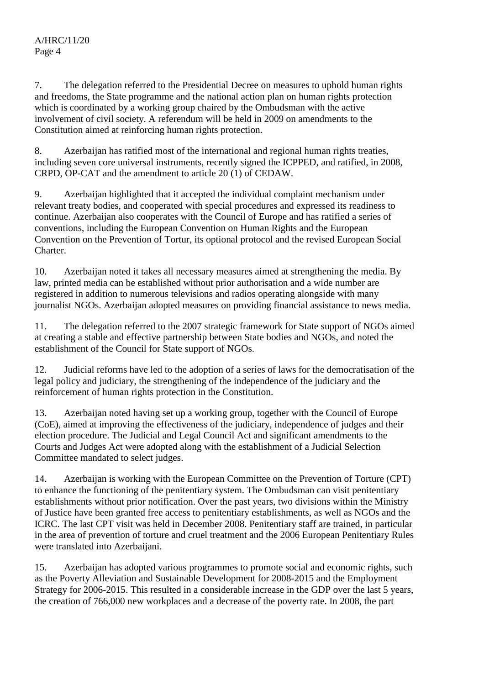7. The delegation referred to the Presidential Decree on measures to uphold human rights and freedoms, the State programme and the national action plan on human rights protection which is coordinated by a working group chaired by the Ombudsman with the active involvement of civil society. A referendum will be held in 2009 on amendments to the Constitution aimed at reinforcing human rights protection.

8. Azerbaijan has ratified most of the international and regional human rights treaties, including seven core universal instruments, recently signed the ICPPED, and ratified, in 2008, CRPD, OP-CAT and the amendment to article 20 (1) of CEDAW.

9. Azerbaijan highlighted that it accepted the individual complaint mechanism under relevant treaty bodies, and cooperated with special procedures and expressed its readiness to continue. Azerbaijan also cooperates with the Council of Europe and has ratified a series of conventions, including the European Convention on Human Rights and the European Convention on the Prevention of Tortur, its optional protocol and the revised European Social Charter.

10. Azerbaijan noted it takes all necessary measures aimed at strengthening the media. By law, printed media can be established without prior authorisation and a wide number are registered in addition to numerous televisions and radios operating alongside with many journalist NGOs. Azerbaijan adopted measures on providing financial assistance to news media.

11. The delegation referred to the 2007 strategic framework for State support of NGOs aimed at creating a stable and effective partnership between State bodies and NGOs, and noted the establishment of the Council for State support of NGOs.

12. Judicial reforms have led to the adoption of a series of laws for the democratisation of the legal policy and judiciary, the strengthening of the independence of the judiciary and the reinforcement of human rights protection in the Constitution.

13. Azerbaijan noted having set up a working group, together with the Council of Europe (CoE), aimed at improving the effectiveness of the judiciary, independence of judges and their election procedure. The Judicial and Legal Council Act and significant amendments to the Courts and Judges Act were adopted along with the establishment of a Judicial Selection Committee mandated to select judges.

14. Azerbaijan is working with the European Committee on the Prevention of Torture (CPT) to enhance the functioning of the penitentiary system. The Ombudsman can visit penitentiary establishments without prior notification. Over the past years, two divisions within the Ministry of Justice have been granted free access to penitentiary establishments, as well as NGOs and the ICRC. The last CPT visit was held in December 2008. Penitentiary staff are trained, in particular in the area of prevention of torture and cruel treatment and the 2006 European Penitentiary Rules were translated into Azerbaijani.

15. Azerbaijan has adopted various programmes to promote social and economic rights, such as the Poverty Alleviation and Sustainable Development for 2008-2015 and the Employment Strategy for 2006-2015. This resulted in a considerable increase in the GDP over the last 5 years, the creation of 766,000 new workplaces and a decrease of the poverty rate. In 2008, the part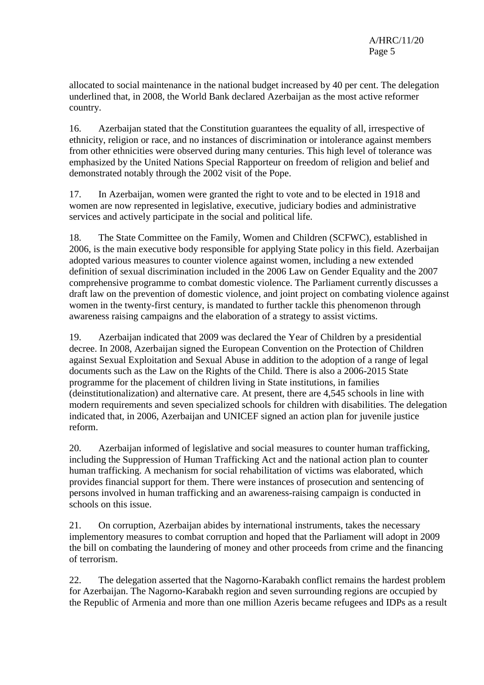allocated to social maintenance in the national budget increased by 40 per cent. The delegation underlined that, in 2008, the World Bank declared Azerbaijan as the most active reformer country.

16. Azerbaijan stated that the Constitution guarantees the equality of all, irrespective of ethnicity, religion or race, and no instances of discrimination or intolerance against members from other ethnicities were observed during many centuries. This high level of tolerance was emphasized by the United Nations Special Rapporteur on freedom of religion and belief and demonstrated notably through the 2002 visit of the Pope.

17. In Azerbaijan, women were granted the right to vote and to be elected in 1918 and women are now represented in legislative, executive, judiciary bodies and administrative services and actively participate in the social and political life.

18. The State Committee on the Family, Women and Children (SCFWC), established in 2006, is the main executive body responsible for applying State policy in this field. Azerbaijan adopted various measures to counter violence against women, including a new extended definition of sexual discrimination included in the 2006 Law on Gender Equality and the 2007 comprehensive programme to combat domestic violence. The Parliament currently discusses a draft law on the prevention of domestic violence, and joint project on combating violence against women in the twenty-first century, is mandated to further tackle this phenomenon through awareness raising campaigns and the elaboration of a strategy to assist victims.

19. Azerbaijan indicated that 2009 was declared the Year of Children by a presidential decree. In 2008, Azerbaijan signed the European Convention on the Protection of Children against Sexual Exploitation and Sexual Abuse in addition to the adoption of a range of legal documents such as the Law on the Rights of the Child. There is also a 2006-2015 State programme for the placement of children living in State institutions, in families (deinstitutionalization) and alternative care. At present, there are 4,545 schools in line with modern requirements and seven specialized schools for children with disabilities. The delegation indicated that, in 2006, Azerbaijan and UNICEF signed an action plan for juvenile justice reform.

20. Azerbaijan informed of legislative and social measures to counter human trafficking, including the Suppression of Human Trafficking Act and the national action plan to counter human trafficking. A mechanism for social rehabilitation of victims was elaborated, which provides financial support for them. There were instances of prosecution and sentencing of persons involved in human trafficking and an awareness-raising campaign is conducted in schools on this issue.

21. On corruption, Azerbaijan abides by international instruments, takes the necessary implementory measures to combat corruption and hoped that the Parliament will adopt in 2009 the bill on combating the laundering of money and other proceeds from crime and the financing of terrorism.

22. The delegation asserted that the Nagorno-Karabakh conflict remains the hardest problem for Azerbaijan. The Nagorno-Karabakh region and seven surrounding regions are occupied by the Republic of Armenia and more than one million Azeris became refugees and IDPs as a result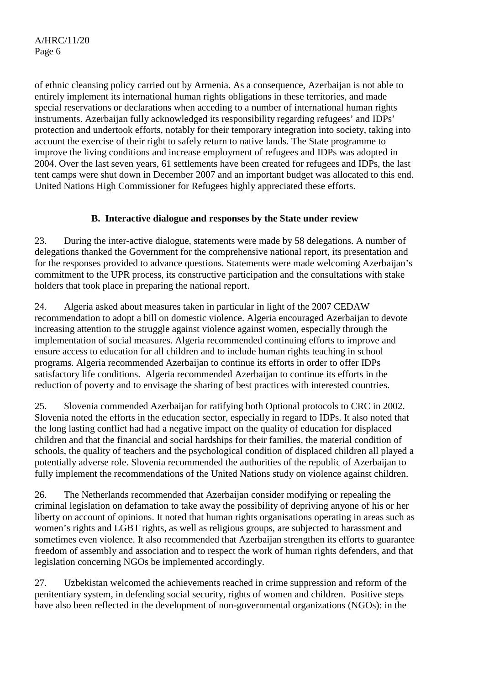of ethnic cleansing policy carried out by Armenia. As a consequence, Azerbaijan is not able to entirely implement its international human rights obligations in these territories, and made special reservations or declarations when acceding to a number of international human rights instruments. Azerbaijan fully acknowledged its responsibility regarding refugees' and IDPs' protection and undertook efforts, notably for their temporary integration into society, taking into account the exercise of their right to safely return to native lands. The State programme to improve the living conditions and increase employment of refugees and IDPs was adopted in 2004. Over the last seven years, 61 settlements have been created for refugees and IDPs, the last tent camps were shut down in December 2007 and an important budget was allocated to this end. United Nations High Commissioner for Refugees highly appreciated these efforts.

## **B. Interactive dialogue and responses by the State under review**

23. During the inter-active dialogue, statements were made by 58 delegations. A number of delegations thanked the Government for the comprehensive national report, its presentation and for the responses provided to advance questions. Statements were made welcoming Azerbaijan's commitment to the UPR process, its constructive participation and the consultations with stake holders that took place in preparing the national report.

24. Algeria asked about measures taken in particular in light of the 2007 CEDAW recommendation to adopt a bill on domestic violence. Algeria encouraged Azerbaijan to devote increasing attention to the struggle against violence against women, especially through the implementation of social measures. Algeria recommended continuing efforts to improve and ensure access to education for all children and to include human rights teaching in school programs. Algeria recommended Azerbaijan to continue its efforts in order to offer IDPs satisfactory life conditions. Algeria recommended Azerbaijan to continue its efforts in the reduction of poverty and to envisage the sharing of best practices with interested countries.

25. Slovenia commended Azerbaijan for ratifying both Optional protocols to CRC in 2002. Slovenia noted the efforts in the education sector, especially in regard to IDPs. It also noted that the long lasting conflict had had a negative impact on the quality of education for displaced children and that the financial and social hardships for their families, the material condition of schools, the quality of teachers and the psychological condition of displaced children all played a potentially adverse role. Slovenia recommended the authorities of the republic of Azerbaijan to fully implement the recommendations of the United Nations study on violence against children.

26. The Netherlands recommended that Azerbaijan consider modifying or repealing the criminal legislation on defamation to take away the possibility of depriving anyone of his or her liberty on account of opinions. It noted that human rights organisations operating in areas such as women's rights and LGBT rights, as well as religious groups, are subjected to harassment and sometimes even violence. It also recommended that Azerbaijan strengthen its efforts to guarantee freedom of assembly and association and to respect the work of human rights defenders, and that legislation concerning NGOs be implemented accordingly.

27. Uzbekistan welcomed the achievements reached in crime suppression and reform of the penitentiary system, in defending social security, rights of women and children. Positive steps have also been reflected in the development of non-governmental organizations (NGOs): in the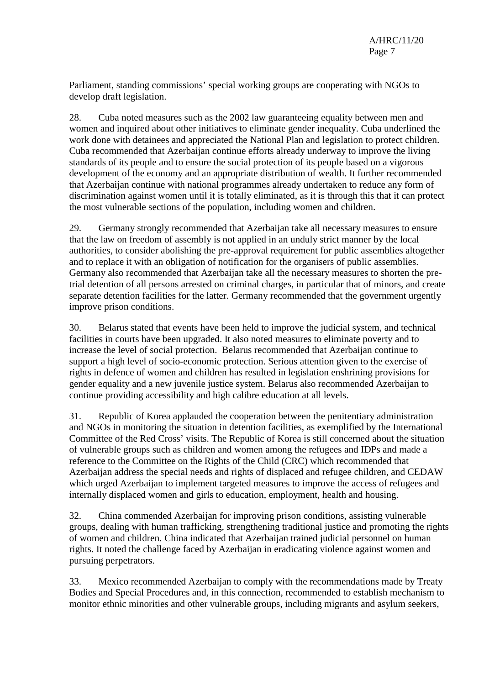Parliament, standing commissions' special working groups are cooperating with NGOs to develop draft legislation.

28. Cuba noted measures such as the 2002 law guaranteeing equality between men and women and inquired about other initiatives to eliminate gender inequality. Cuba underlined the work done with detainees and appreciated the National Plan and legislation to protect children. Cuba recommended that Azerbaijan continue efforts already underway to improve the living standards of its people and to ensure the social protection of its people based on a vigorous development of the economy and an appropriate distribution of wealth. It further recommended that Azerbaijan continue with national programmes already undertaken to reduce any form of discrimination against women until it is totally eliminated, as it is through this that it can protect the most vulnerable sections of the population, including women and children.

29. Germany strongly recommended that Azerbaijan take all necessary measures to ensure that the law on freedom of assembly is not applied in an unduly strict manner by the local authorities, to consider abolishing the pre-approval requirement for public assemblies altogether and to replace it with an obligation of notification for the organisers of public assemblies. Germany also recommended that Azerbaijan take all the necessary measures to shorten the pretrial detention of all persons arrested on criminal charges, in particular that of minors, and create separate detention facilities for the latter. Germany recommended that the government urgently improve prison conditions.

30. Belarus stated that events have been held to improve the judicial system, and technical facilities in courts have been upgraded. It also noted measures to eliminate poverty and to increase the level of social protection. Belarus recommended that Azerbaijan continue to support a high level of socio-economic protection. Serious attention given to the exercise of rights in defence of women and children has resulted in legislation enshrining provisions for gender equality and a new juvenile justice system. Belarus also recommended Azerbaijan to continue providing accessibility and high calibre education at all levels.

31. Republic of Korea applauded the cooperation between the penitentiary administration and NGOs in monitoring the situation in detention facilities, as exemplified by the International Committee of the Red Cross' visits. The Republic of Korea is still concerned about the situation of vulnerable groups such as children and women among the refugees and IDPs and made a reference to the Committee on the Rights of the Child (CRC) which recommended that Azerbaijan address the special needs and rights of displaced and refugee children, and CEDAW which urged Azerbaijan to implement targeted measures to improve the access of refugees and internally displaced women and girls to education, employment, health and housing.

32. China commended Azerbaijan for improving prison conditions, assisting vulnerable groups, dealing with human trafficking, strengthening traditional justice and promoting the rights of women and children. China indicated that Azerbaijan trained judicial personnel on human rights. It noted the challenge faced by Azerbaijan in eradicating violence against women and pursuing perpetrators.

33. Mexico recommended Azerbaijan to comply with the recommendations made by Treaty Bodies and Special Procedures and, in this connection, recommended to establish mechanism to monitor ethnic minorities and other vulnerable groups, including migrants and asylum seekers,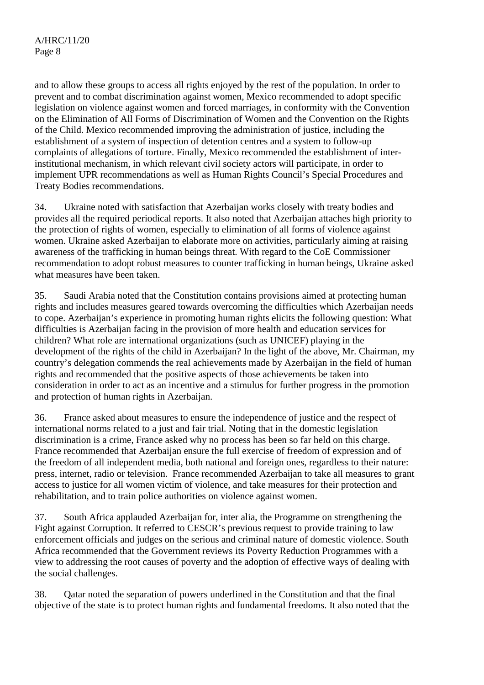and to allow these groups to access all rights enjoyed by the rest of the population. In order to prevent and to combat discrimination against women, Mexico recommended to adopt specific legislation on violence against women and forced marriages, in conformity with the Convention on the Elimination of All Forms of Discrimination of Women and the Convention on the Rights of the Child. Mexico recommended improving the administration of justice, including the establishment of a system of inspection of detention centres and a system to follow-up complaints of allegations of torture. Finally, Mexico recommended the establishment of interinstitutional mechanism, in which relevant civil society actors will participate, in order to implement UPR recommendations as well as Human Rights Council's Special Procedures and Treaty Bodies recommendations.

34. Ukraine noted with satisfaction that Azerbaijan works closely with treaty bodies and provides all the required periodical reports. It also noted that Azerbaijan attaches high priority to the protection of rights of women, especially to elimination of all forms of violence against women. Ukraine asked Azerbaijan to elaborate more on activities, particularly aiming at raising awareness of the trafficking in human beings threat. With regard to the CoE Commissioner recommendation to adopt robust measures to counter trafficking in human beings, Ukraine asked what measures have been taken.

35. Saudi Arabia noted that the Constitution contains provisions aimed at protecting human rights and includes measures geared towards overcoming the difficulties which Azerbaijan needs to cope. Azerbaijan's experience in promoting human rights elicits the following question: What difficulties is Azerbaijan facing in the provision of more health and education services for children? What role are international organizations (such as UNICEF) playing in the development of the rights of the child in Azerbaijan? In the light of the above, Mr. Chairman, my country's delegation commends the real achievements made by Azerbaijan in the field of human rights and recommended that the positive aspects of those achievements be taken into consideration in order to act as an incentive and a stimulus for further progress in the promotion and protection of human rights in Azerbaijan.

36. France asked about measures to ensure the independence of justice and the respect of international norms related to a just and fair trial. Noting that in the domestic legislation discrimination is a crime, France asked why no process has been so far held on this charge. France recommended that Azerbaijan ensure the full exercise of freedom of expression and of the freedom of all independent media, both national and foreign ones, regardless to their nature: press, internet, radio or television. France recommended Azerbaijan to take all measures to grant access to justice for all women victim of violence, and take measures for their protection and rehabilitation, and to train police authorities on violence against women.

37. South Africa applauded Azerbaijan for, inter alia, the Programme on strengthening the Fight against Corruption. It referred to CESCR's previous request to provide training to law enforcement officials and judges on the serious and criminal nature of domestic violence. South Africa recommended that the Government reviews its Poverty Reduction Programmes with a view to addressing the root causes of poverty and the adoption of effective ways of dealing with the social challenges.

38. Qatar noted the separation of powers underlined in the Constitution and that the final objective of the state is to protect human rights and fundamental freedoms. It also noted that the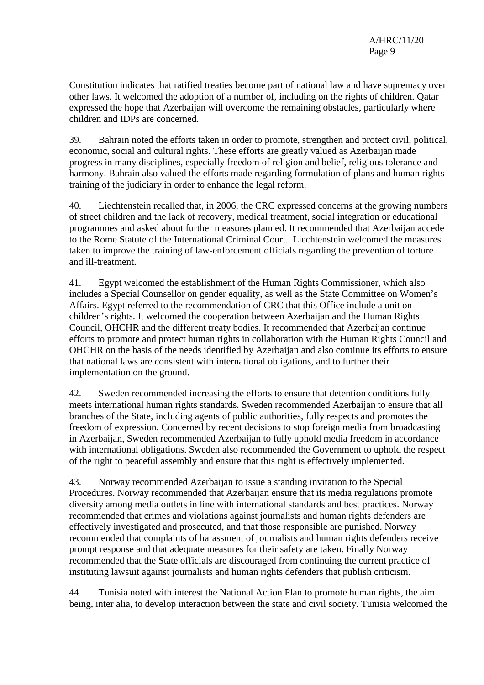Constitution indicates that ratified treaties become part of national law and have supremacy over other laws. It welcomed the adoption of a number of, including on the rights of children. Qatar expressed the hope that Azerbaijan will overcome the remaining obstacles, particularly where children and IDPs are concerned.

39. Bahrain noted the efforts taken in order to promote, strengthen and protect civil, political, economic, social and cultural rights. These efforts are greatly valued as Azerbaijan made progress in many disciplines, especially freedom of religion and belief, religious tolerance and harmony. Bahrain also valued the efforts made regarding formulation of plans and human rights training of the judiciary in order to enhance the legal reform.

40. Liechtenstein recalled that, in 2006, the CRC expressed concerns at the growing numbers of street children and the lack of recovery, medical treatment, social integration or educational programmes and asked about further measures planned. It recommended that Azerbaijan accede to the Rome Statute of the International Criminal Court. Liechtenstein welcomed the measures taken to improve the training of law-enforcement officials regarding the prevention of torture and ill-treatment.

41. Egypt welcomed the establishment of the Human Rights Commissioner, which also includes a Special Counsellor on gender equality, as well as the State Committee on Women's Affairs. Egypt referred to the recommendation of CRC that this Office include a unit on children's rights. It welcomed the cooperation between Azerbaijan and the Human Rights Council, OHCHR and the different treaty bodies. It recommended that Azerbaijan continue efforts to promote and protect human rights in collaboration with the Human Rights Council and OHCHR on the basis of the needs identified by Azerbaijan and also continue its efforts to ensure that national laws are consistent with international obligations, and to further their implementation on the ground.

42. Sweden recommended increasing the efforts to ensure that detention conditions fully meets international human rights standards. Sweden recommended Azerbaijan to ensure that all branches of the State, including agents of public authorities, fully respects and promotes the freedom of expression. Concerned by recent decisions to stop foreign media from broadcasting in Azerbaijan, Sweden recommended Azerbaijan to fully uphold media freedom in accordance with international obligations. Sweden also recommended the Government to uphold the respect of the right to peaceful assembly and ensure that this right is effectively implemented.

43. Norway recommended Azerbaijan to issue a standing invitation to the Special Procedures. Norway recommended that Azerbaijan ensure that its media regulations promote diversity among media outlets in line with international standards and best practices. Norway recommended that crimes and violations against journalists and human rights defenders are effectively investigated and prosecuted, and that those responsible are punished. Norway recommended that complaints of harassment of journalists and human rights defenders receive prompt response and that adequate measures for their safety are taken. Finally Norway recommended that the State officials are discouraged from continuing the current practice of instituting lawsuit against journalists and human rights defenders that publish criticism.

44. Tunisia noted with interest the National Action Plan to promote human rights, the aim being, inter alia, to develop interaction between the state and civil society. Tunisia welcomed the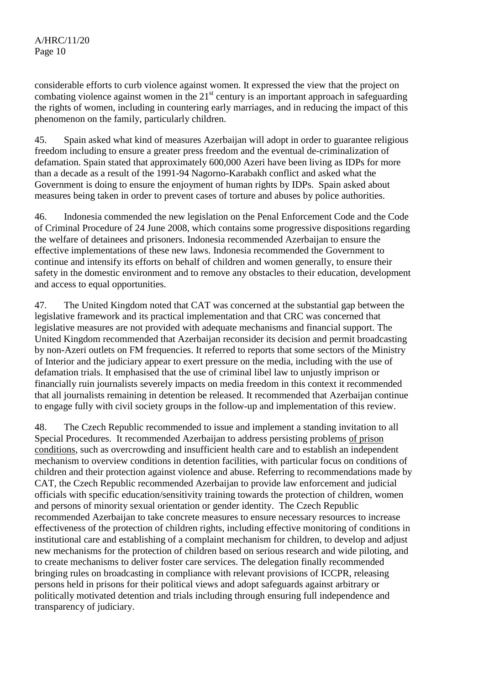considerable efforts to curb violence against women. It expressed the view that the project on combating violence against women in the  $21<sup>st</sup>$  century is an important approach in safeguarding the rights of women, including in countering early marriages, and in reducing the impact of this phenomenon on the family, particularly children.

45. Spain asked what kind of measures Azerbaijan will adopt in order to guarantee religious freedom including to ensure a greater press freedom and the eventual de-criminalization of defamation. Spain stated that approximately 600,000 Azeri have been living as IDPs for more than a decade as a result of the 1991-94 Nagorno-Karabakh conflict and asked what the Government is doing to ensure the enjoyment of human rights by IDPs. Spain asked about measures being taken in order to prevent cases of torture and abuses by police authorities.

46. Indonesia commended the new legislation on the Penal Enforcement Code and the Code of Criminal Procedure of 24 June 2008, which contains some progressive dispositions regarding the welfare of detainees and prisoners. Indonesia recommended Azerbaijan to ensure the effective implementations of these new laws. Indonesia recommended the Government to continue and intensify its efforts on behalf of children and women generally, to ensure their safety in the domestic environment and to remove any obstacles to their education, development and access to equal opportunities.

47. The United Kingdom noted that CAT was concerned at the substantial gap between the legislative framework and its practical implementation and that CRC was concerned that legislative measures are not provided with adequate mechanisms and financial support. The United Kingdom recommended that Azerbaijan reconsider its decision and permit broadcasting by non-Azeri outlets on FM frequencies. It referred to reports that some sectors of the Ministry of Interior and the judiciary appear to exert pressure on the media, including with the use of defamation trials. It emphasised that the use of criminal libel law to unjustly imprison or financially ruin journalists severely impacts on media freedom in this context it recommended that all journalists remaining in detention be released. It recommended that Azerbaijan continue to engage fully with civil society groups in the follow-up and implementation of this review.

48. The Czech Republic recommended to issue and implement a standing invitation to all Special Procedures. It recommended Azerbaijan to address persisting problems of prison conditions, such as overcrowding and insufficient health care and to establish an independent mechanism to overview conditions in detention facilities, with particular focus on conditions of children and their protection against violence and abuse. Referring to recommendations made by CAT, the Czech Republic recommended Azerbaijan to provide law enforcement and judicial officials with specific education/sensitivity training towards the protection of children, women and persons of minority sexual orientation or gender identity. The Czech Republic recommended Azerbaijan to take concrete measures to ensure necessary resources to increase effectiveness of the protection of children rights, including effective monitoring of conditions in institutional care and establishing of a complaint mechanism for children, to develop and adjust new mechanisms for the protection of children based on serious research and wide piloting, and to create mechanisms to deliver foster care services. The delegation finally recommended bringing rules on broadcasting in compliance with relevant provisions of ICCPR, releasing persons held in prisons for their political views and adopt safeguards against arbitrary or politically motivated detention and trials including through ensuring full independence and transparency of judiciary.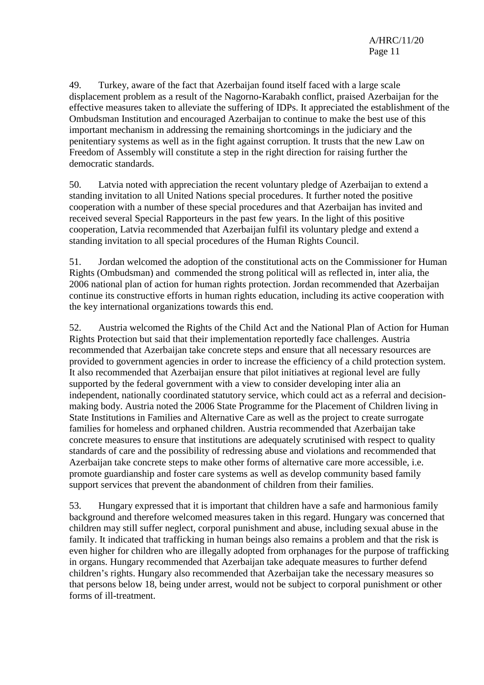49. Turkey, aware of the fact that Azerbaijan found itself faced with a large scale displacement problem as a result of the Nagorno-Karabakh conflict, praised Azerbaijan for the effective measures taken to alleviate the suffering of IDPs. It appreciated the establishment of the Ombudsman Institution and encouraged Azerbaijan to continue to make the best use of this important mechanism in addressing the remaining shortcomings in the judiciary and the penitentiary systems as well as in the fight against corruption. It trusts that the new Law on Freedom of Assembly will constitute a step in the right direction for raising further the democratic standards.

50. Latvia noted with appreciation the recent voluntary pledge of Azerbaijan to extend a standing invitation to all United Nations special procedures. It further noted the positive cooperation with a number of these special procedures and that Azerbaijan has invited and received several Special Rapporteurs in the past few years. In the light of this positive cooperation, Latvia recommended that Azerbaijan fulfil its voluntary pledge and extend a standing invitation to all special procedures of the Human Rights Council.

51. Jordan welcomed the adoption of the constitutional acts on the Commissioner for Human Rights (Ombudsman) and commended the strong political will as reflected in, inter alia, the 2006 national plan of action for human rights protection. Jordan recommended that Azerbaijan continue its constructive efforts in human rights education, including its active cooperation with the key international organizations towards this end.

52. Austria welcomed the Rights of the Child Act and the National Plan of Action for Human Rights Protection but said that their implementation reportedly face challenges. Austria recommended that Azerbaijan take concrete steps and ensure that all necessary resources are provided to government agencies in order to increase the efficiency of a child protection system. It also recommended that Azerbaijan ensure that pilot initiatives at regional level are fully supported by the federal government with a view to consider developing inter alia an independent, nationally coordinated statutory service, which could act as a referral and decisionmaking body. Austria noted the 2006 State Programme for the Placement of Children living in State Institutions in Families and Alternative Care as well as the project to create surrogate families for homeless and orphaned children. Austria recommended that Azerbaijan take concrete measures to ensure that institutions are adequately scrutinised with respect to quality standards of care and the possibility of redressing abuse and violations and recommended that Azerbaijan take concrete steps to make other forms of alternative care more accessible, i.e. promote guardianship and foster care systems as well as develop community based family support services that prevent the abandonment of children from their families.

53. Hungary expressed that it is important that children have a safe and harmonious family background and therefore welcomed measures taken in this regard. Hungary was concerned that children may still suffer neglect, corporal punishment and abuse, including sexual abuse in the family. It indicated that trafficking in human beings also remains a problem and that the risk is even higher for children who are illegally adopted from orphanages for the purpose of trafficking in organs. Hungary recommended that Azerbaijan take adequate measures to further defend children's rights. Hungary also recommended that Azerbaijan take the necessary measures so that persons below 18, being under arrest, would not be subject to corporal punishment or other forms of ill-treatment.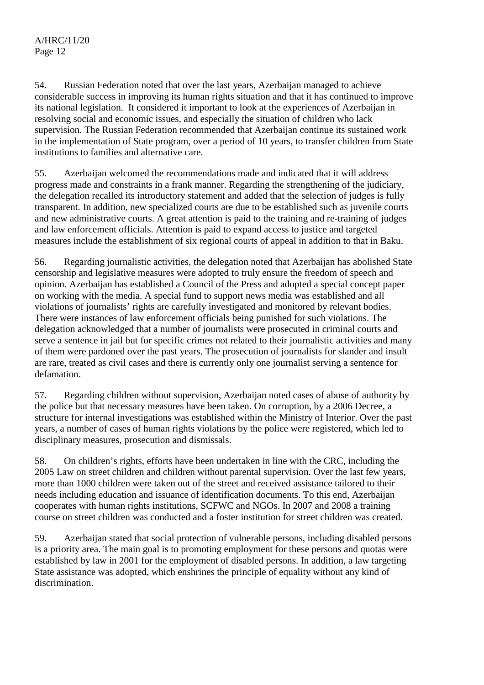54. Russian Federation noted that over the last years, Azerbaijan managed to achieve considerable success in improving its human rights situation and that it has continued to improve its national legislation. It considered it important to look at the experiences of Azerbaijan in resolving social and economic issues, and especially the situation of children who lack supervision. The Russian Federation recommended that Azerbaijan continue its sustained work in the implementation of State program, over a period of 10 years, to transfer children from State institutions to families and alternative care.

55. Azerbaijan welcomed the recommendations made and indicated that it will address progress made and constraints in a frank manner. Regarding the strengthening of the judiciary, the delegation recalled its introductory statement and added that the selection of judges is fully transparent. In addition, new specialized courts are due to be established such as juvenile courts and new administrative courts. A great attention is paid to the training and re-training of judges and law enforcement officials. Attention is paid to expand access to justice and targeted measures include the establishment of six regional courts of appeal in addition to that in Baku.

56. Regarding journalistic activities, the delegation noted that Azerbaijan has abolished State censorship and legislative measures were adopted to truly ensure the freedom of speech and opinion. Azerbaijan has established a Council of the Press and adopted a special concept paper on working with the media. A special fund to support news media was established and all violations of journalists' rights are carefully investigated and monitored by relevant bodies. There were instances of law enforcement officials being punished for such violations. The delegation acknowledged that a number of journalists were prosecuted in criminal courts and serve a sentence in jail but for specific crimes not related to their journalistic activities and many of them were pardoned over the past years. The prosecution of journalists for slander and insult are rare, treated as civil cases and there is currently only one journalist serving a sentence for defamation.

57. Regarding children without supervision, Azerbaijan noted cases of abuse of authority by the police but that necessary measures have been taken. On corruption, by a 2006 Decree, a structure for internal investigations was established within the Ministry of Interior. Over the past years, a number of cases of human rights violations by the police were registered, which led to disciplinary measures, prosecution and dismissals.

58. On children's rights, efforts have been undertaken in line with the CRC, including the 2005 Law on street children and children without parental supervision. Over the last few years, more than 1000 children were taken out of the street and received assistance tailored to their needs including education and issuance of identification documents. To this end, Azerbaijan cooperates with human rights institutions, SCFWC and NGOs. In 2007 and 2008 a training course on street children was conducted and a foster institution for street children was created.

59. Azerbaijan stated that social protection of vulnerable persons, including disabled persons is a priority area. The main goal is to promoting employment for these persons and quotas were established by law in 2001 for the employment of disabled persons. In addition, a law targeting State assistance was adopted, which enshrines the principle of equality without any kind of discrimination.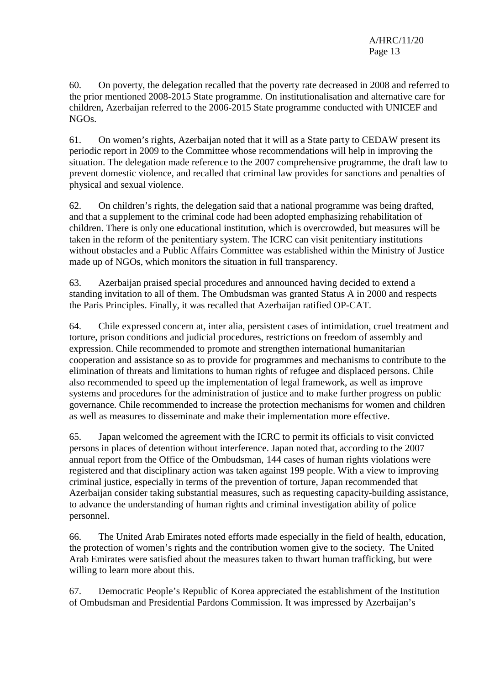60. On poverty, the delegation recalled that the poverty rate decreased in 2008 and referred to the prior mentioned 2008-2015 State programme. On institutionalisation and alternative care for children, Azerbaijan referred to the 2006-2015 State programme conducted with UNICEF and NGOs.

61. On women's rights, Azerbaijan noted that it will as a State party to CEDAW present its periodic report in 2009 to the Committee whose recommendations will help in improving the situation. The delegation made reference to the 2007 comprehensive programme, the draft law to prevent domestic violence, and recalled that criminal law provides for sanctions and penalties of physical and sexual violence.

62. On children's rights, the delegation said that a national programme was being drafted, and that a supplement to the criminal code had been adopted emphasizing rehabilitation of children. There is only one educational institution, which is overcrowded, but measures will be taken in the reform of the penitentiary system. The ICRC can visit penitentiary institutions without obstacles and a Public Affairs Committee was established within the Ministry of Justice made up of NGOs, which monitors the situation in full transparency.

63. Azerbaijan praised special procedures and announced having decided to extend a standing invitation to all of them. The Ombudsman was granted Status A in 2000 and respects the Paris Principles. Finally, it was recalled that Azerbaijan ratified OP-CAT.

64. Chile expressed concern at, inter alia, persistent cases of intimidation, cruel treatment and torture, prison conditions and judicial procedures, restrictions on freedom of assembly and expression. Chile recommended to promote and strengthen international humanitarian cooperation and assistance so as to provide for programmes and mechanisms to contribute to the elimination of threats and limitations to human rights of refugee and displaced persons. Chile also recommended to speed up the implementation of legal framework, as well as improve systems and procedures for the administration of justice and to make further progress on public governance. Chile recommended to increase the protection mechanisms for women and children as well as measures to disseminate and make their implementation more effective.

65. Japan welcomed the agreement with the ICRC to permit its officials to visit convicted persons in places of detention without interference. Japan noted that, according to the 2007 annual report from the Office of the Ombudsman, 144 cases of human rights violations were registered and that disciplinary action was taken against 199 people. With a view to improving criminal justice, especially in terms of the prevention of torture, Japan recommended that Azerbaijan consider taking substantial measures, such as requesting capacity-building assistance, to advance the understanding of human rights and criminal investigation ability of police personnel.

66. The United Arab Emirates noted efforts made especially in the field of health, education, the protection of women's rights and the contribution women give to the society. The United Arab Emirates were satisfied about the measures taken to thwart human trafficking, but were willing to learn more about this.

67. Democratic People's Republic of Korea appreciated the establishment of the Institution of Ombudsman and Presidential Pardons Commission. It was impressed by Azerbaijan's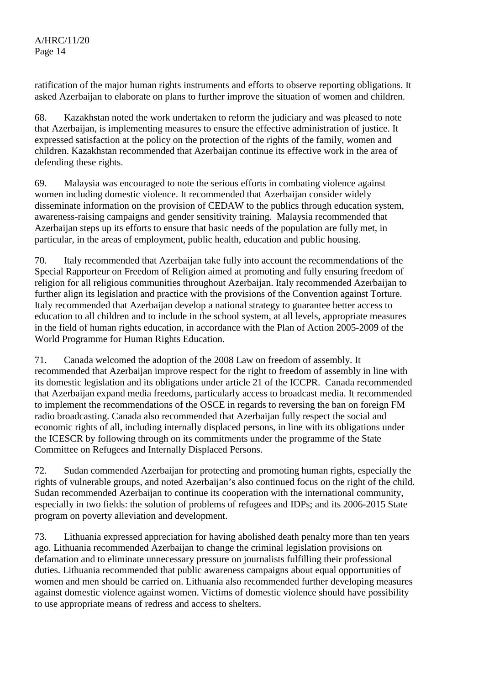ratification of the major human rights instruments and efforts to observe reporting obligations. It asked Azerbaijan to elaborate on plans to further improve the situation of women and children.

68. Kazakhstan noted the work undertaken to reform the judiciary and was pleased to note that Azerbaijan, is implementing measures to ensure the effective administration of justice. It expressed satisfaction at the policy on the protection of the rights of the family, women and children. Kazakhstan recommended that Azerbaijan continue its effective work in the area of defending these rights.

69. Malaysia was encouraged to note the serious efforts in combating violence against women including domestic violence. It recommended that Azerbaijan consider widely disseminate information on the provision of CEDAW to the publics through education system, awareness-raising campaigns and gender sensitivity training. Malaysia recommended that Azerbaijan steps up its efforts to ensure that basic needs of the population are fully met, in particular, in the areas of employment, public health, education and public housing.

70. Italy recommended that Azerbaijan take fully into account the recommendations of the Special Rapporteur on Freedom of Religion aimed at promoting and fully ensuring freedom of religion for all religious communities throughout Azerbaijan. Italy recommended Azerbaijan to further align its legislation and practice with the provisions of the Convention against Torture. Italy recommended that Azerbaijan develop a national strategy to guarantee better access to education to all children and to include in the school system, at all levels, appropriate measures in the field of human rights education, in accordance with the Plan of Action 2005-2009 of the World Programme for Human Rights Education.

71. Canada welcomed the adoption of the 2008 Law on freedom of assembly. It recommended that Azerbaijan improve respect for the right to freedom of assembly in line with its domestic legislation and its obligations under article 21 of the ICCPR. Canada recommended that Azerbaijan expand media freedoms, particularly access to broadcast media. It recommended to implement the recommendations of the OSCE in regards to reversing the ban on foreign FM radio broadcasting. Canada also recommended that Azerbaijan fully respect the social and economic rights of all, including internally displaced persons, in line with its obligations under the ICESCR by following through on its commitments under the programme of the State Committee on Refugees and Internally Displaced Persons.

72. Sudan commended Azerbaijan for protecting and promoting human rights, especially the rights of vulnerable groups, and noted Azerbaijan's also continued focus on the right of the child. Sudan recommended Azerbaijan to continue its cooperation with the international community, especially in two fields: the solution of problems of refugees and IDPs; and its 2006-2015 State program on poverty alleviation and development.

73. Lithuania expressed appreciation for having abolished death penalty more than ten years ago. Lithuania recommended Azerbaijan to change the criminal legislation provisions on defamation and to eliminate unnecessary pressure on journalists fulfilling their professional duties. Lithuania recommended that public awareness campaigns about equal opportunities of women and men should be carried on. Lithuania also recommended further developing measures against domestic violence against women. Victims of domestic violence should have possibility to use appropriate means of redress and access to shelters.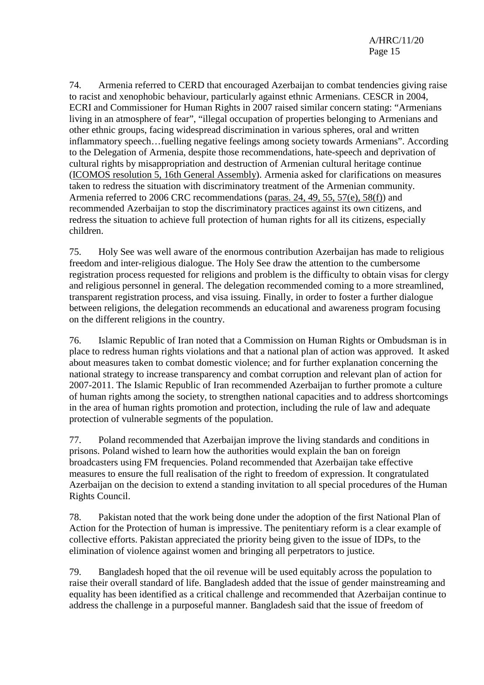74. Armenia referred to CERD that encouraged Azerbaijan to combat tendencies giving raise to racist and xenophobic behaviour, particularly against ethnic Armenians. CESCR in 2004, ECRI and Commissioner for Human Rights in 2007 raised similar concern stating: "Armenians living in an atmosphere of fear", "illegal occupation of properties belonging to Armenians and other ethnic groups, facing widespread discrimination in various spheres, oral and written inflammatory speech…fuelling negative feelings among society towards Armenians". According to the Delegation of Armenia, despite those recommendations, hate-speech and deprivation of cultural rights by misappropriation and destruction of Armenian cultural heritage continue (ICOMOS resolution 5, 16th General Assembly). Armenia asked for clarifications on measures taken to redress the situation with discriminatory treatment of the Armenian community. Armenia referred to 2006 CRC recommendations (paras. 24, 49, 55, 57(e), 58(f)) and recommended Azerbaijan to stop the discriminatory practices against its own citizens, and redress the situation to achieve full protection of human rights for all its citizens, especially children.

75. Holy See was well aware of the enormous contribution Azerbaijan has made to religious freedom and inter-religious dialogue. The Holy See draw the attention to the cumbersome registration process requested for religions and problem is the difficulty to obtain visas for clergy and religious personnel in general. The delegation recommended coming to a more streamlined, transparent registration process, and visa issuing. Finally, in order to foster a further dialogue between religions, the delegation recommends an educational and awareness program focusing on the different religions in the country.

76. Islamic Republic of Iran noted that a Commission on Human Rights or Ombudsman is in place to redress human rights violations and that a national plan of action was approved. It asked about measures taken to combat domestic violence; and for further explanation concerning the national strategy to increase transparency and combat corruption and relevant plan of action for 2007-2011. The Islamic Republic of Iran recommended Azerbaijan to further promote a culture of human rights among the society, to strengthen national capacities and to address shortcomings in the area of human rights promotion and protection, including the rule of law and adequate protection of vulnerable segments of the population.

77. Poland recommended that Azerbaijan improve the living standards and conditions in prisons. Poland wished to learn how the authorities would explain the ban on foreign broadcasters using FM frequencies. Poland recommended that Azerbaijan take effective measures to ensure the full realisation of the right to freedom of expression. It congratulated Azerbaijan on the decision to extend a standing invitation to all special procedures of the Human Rights Council.

78. Pakistan noted that the work being done under the adoption of the first National Plan of Action for the Protection of human is impressive. The penitentiary reform is a clear example of collective efforts. Pakistan appreciated the priority being given to the issue of IDPs, to the elimination of violence against women and bringing all perpetrators to justice.

79. Bangladesh hoped that the oil revenue will be used equitably across the population to raise their overall standard of life. Bangladesh added that the issue of gender mainstreaming and equality has been identified as a critical challenge and recommended that Azerbaijan continue to address the challenge in a purposeful manner. Bangladesh said that the issue of freedom of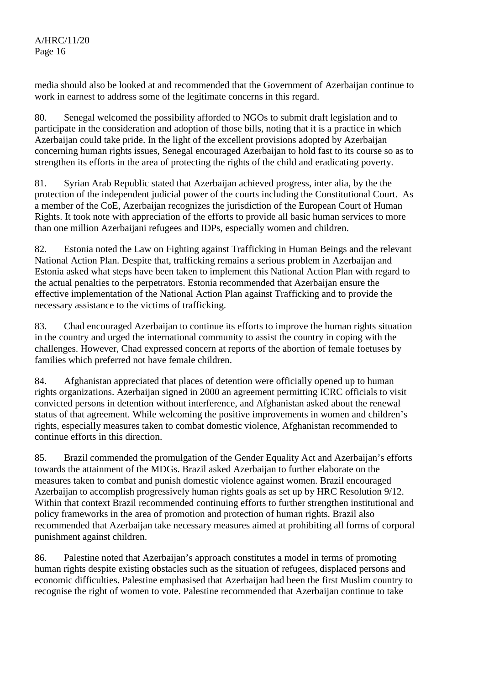media should also be looked at and recommended that the Government of Azerbaijan continue to work in earnest to address some of the legitimate concerns in this regard.

80. Senegal welcomed the possibility afforded to NGOs to submit draft legislation and to participate in the consideration and adoption of those bills, noting that it is a practice in which Azerbaijan could take pride. In the light of the excellent provisions adopted by Azerbaijan concerning human rights issues, Senegal encouraged Azerbaijan to hold fast to its course so as to strengthen its efforts in the area of protecting the rights of the child and eradicating poverty.

81. Syrian Arab Republic stated that Azerbaijan achieved progress, inter alia, by the the protection of the independent judicial power of the courts including the Constitutional Court. As a member of the CoE, Azerbaijan recognizes the jurisdiction of the European Court of Human Rights. It took note with appreciation of the efforts to provide all basic human services to more than one million Azerbaijani refugees and IDPs, especially women and children.

82. Estonia noted the Law on Fighting against Trafficking in Human Beings and the relevant National Action Plan. Despite that, trafficking remains a serious problem in Azerbaijan and Estonia asked what steps have been taken to implement this National Action Plan with regard to the actual penalties to the perpetrators. Estonia recommended that Azerbaijan ensure the effective implementation of the National Action Plan against Trafficking and to provide the necessary assistance to the victims of trafficking.

83. Chad encouraged Azerbaijan to continue its efforts to improve the human rights situation in the country and urged the international community to assist the country in coping with the challenges. However, Chad expressed concern at reports of the abortion of female foetuses by families which preferred not have female children.

84. Afghanistan appreciated that places of detention were officially opened up to human rights organizations. Azerbaijan signed in 2000 an agreement permitting ICRC officials to visit convicted persons in detention without interference, and Afghanistan asked about the renewal status of that agreement. While welcoming the positive improvements in women and children's rights, especially measures taken to combat domestic violence, Afghanistan recommended to continue efforts in this direction.

85. Brazil commended the promulgation of the Gender Equality Act and Azerbaijan's efforts towards the attainment of the MDGs. Brazil asked Azerbaijan to further elaborate on the measures taken to combat and punish domestic violence against women. Brazil encouraged Azerbaijan to accomplish progressively human rights goals as set up by HRC Resolution 9/12. Within that context Brazil recommended continuing efforts to further strengthen institutional and policy frameworks in the area of promotion and protection of human rights. Brazil also recommended that Azerbaijan take necessary measures aimed at prohibiting all forms of corporal punishment against children.

86. Palestine noted that Azerbaijan's approach constitutes a model in terms of promoting human rights despite existing obstacles such as the situation of refugees, displaced persons and economic difficulties. Palestine emphasised that Azerbaijan had been the first Muslim country to recognise the right of women to vote. Palestine recommended that Azerbaijan continue to take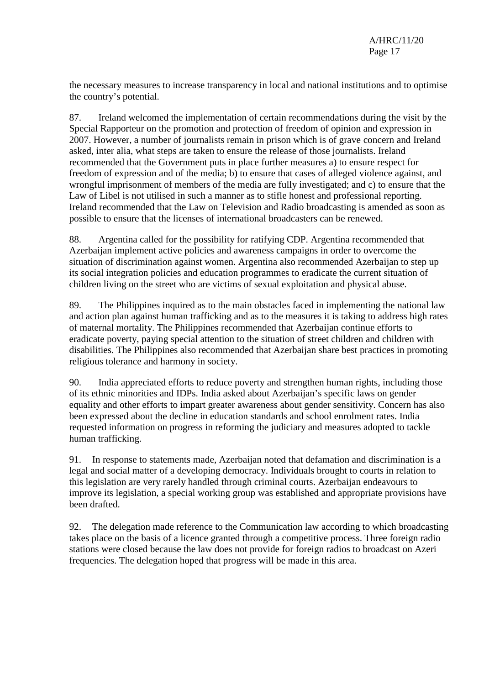the necessary measures to increase transparency in local and national institutions and to optimise the country's potential.

87. Ireland welcomed the implementation of certain recommendations during the visit by the Special Rapporteur on the promotion and protection of freedom of opinion and expression in 2007. However, a number of journalists remain in prison which is of grave concern and Ireland asked, inter alia, what steps are taken to ensure the release of those journalists. Ireland recommended that the Government puts in place further measures a) to ensure respect for freedom of expression and of the media; b) to ensure that cases of alleged violence against, and wrongful imprisonment of members of the media are fully investigated; and c) to ensure that the Law of Libel is not utilised in such a manner as to stifle honest and professional reporting. Ireland recommended that the Law on Television and Radio broadcasting is amended as soon as possible to ensure that the licenses of international broadcasters can be renewed.

88. Argentina called for the possibility for ratifying CDP. Argentina recommended that Azerbaijan implement active policies and awareness campaigns in order to overcome the situation of discrimination against women. Argentina also recommended Azerbaijan to step up its social integration policies and education programmes to eradicate the current situation of children living on the street who are victims of sexual exploitation and physical abuse.

89. The Philippines inquired as to the main obstacles faced in implementing the national law and action plan against human trafficking and as to the measures it is taking to address high rates of maternal mortality. The Philippines recommended that Azerbaijan continue efforts to eradicate poverty, paying special attention to the situation of street children and children with disabilities. The Philippines also recommended that Azerbaijan share best practices in promoting religious tolerance and harmony in society.

90. India appreciated efforts to reduce poverty and strengthen human rights, including those of its ethnic minorities and IDPs. India asked about Azerbaijan's specific laws on gender equality and other efforts to impart greater awareness about gender sensitivity. Concern has also been expressed about the decline in education standards and school enrolment rates. India requested information on progress in reforming the judiciary and measures adopted to tackle human trafficking.

91. In response to statements made, Azerbaijan noted that defamation and discrimination is a legal and social matter of a developing democracy. Individuals brought to courts in relation to this legislation are very rarely handled through criminal courts. Azerbaijan endeavours to improve its legislation, a special working group was established and appropriate provisions have been drafted.

92. The delegation made reference to the Communication law according to which broadcasting takes place on the basis of a licence granted through a competitive process. Three foreign radio stations were closed because the law does not provide for foreign radios to broadcast on Azeri frequencies. The delegation hoped that progress will be made in this area.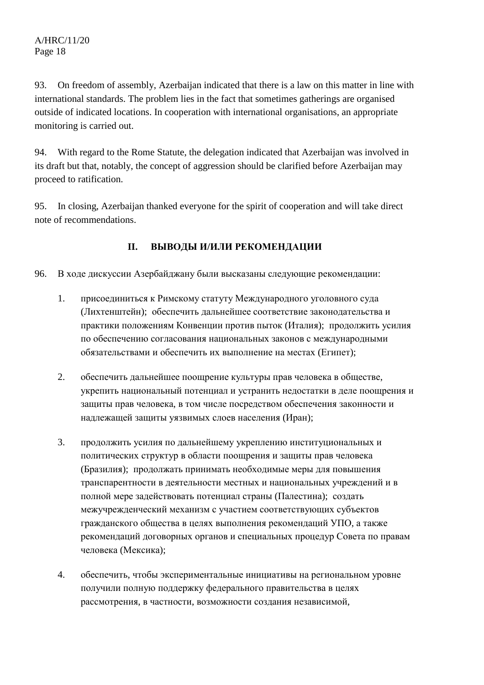93. On freedom of assembly, Azerbaijan indicated that there is a law on this matter in line with international standards. The problem lies in the fact that sometimes gatherings are organised outside of indicated locations. In cooperation with international organisations, an appropriate monitoring is carried out.

94. With regard to the Rome Statute, the delegation indicated that Azerbaijan was involved in its draft but that, notably, the concept of aggression should be clarified before Azerbaijan may proceed to ratification.

95. In closing, Azerbaijan thanked everyone for the spirit of cooperation and will take direct note of recommendations.

## **II. ВЫВОДЫ И/ИЛИ РЕКОМЕНДАЦИИ**

- 96. В ходе дискуссии Азербайджану были высказаны следующие рекомендации:
	- 1. присоединиться к Римскому статуту Международного уголовного суда (Лихтенштейн); обеспечить дальнейшее соответствие законодательства и практики положениям Конвенции против пыток (Италия); продолжить усилия по обеспечению согласования национальных законов с международными обязательствами и обеспечить их выполнение на местах (Египет);
	- 2. обеспечить дальнейшее поощрение культуры прав человека в обществе, укрепить национальный потенциал и устранить недостатки в деле поощрения и защиты прав человека, в том числе посредством обеспечения законности и надлежащей защиты уязвимых слоев населения (Иран);
	- 3. продолжить усилия по дальнейшему укреплению институциональных и политических структур в области поощрения и защиты прав человека (Бразилия); продолжать принимать необходимые меры для повышения транспарентности в деятельности местных и национальных учреждений и в полной мере задействовать потенциал страны (Палестина); создать межучрежденческий механизм с участием соответствующих субъектов гражданского общества в целях выполнения рекомендаций УПО, а также рекомендаций договорных органов и специальных процедур Совета по правам человека (Мексика);
	- 4. обеспечить, чтобы экспериментальные инициативы на региональном уровне получили полную поддержку федерального правительства в целях рассмотрения, в частности, возможности создания независимой,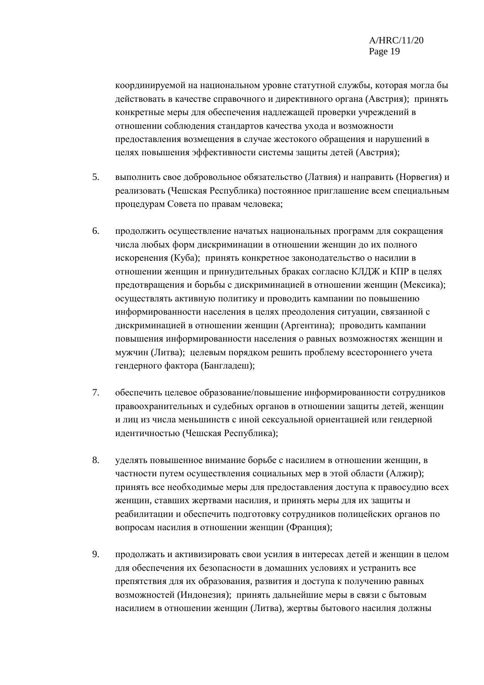координируемой на национальном уровне статутной службы, которая могла бы действовать в качестве справочного и директивного органа (Австрия); принять конкретные меры для обеспечения надлежащей проверки учреждений в отношении соблюдения стандартов качества ухода и возможности предоставления возмещения в случае жестокого обращения и нарушений в целях повышения эффективности системы защиты детей (Австрия);

- 5. выполнить свое добровольное обязательство (Латвия) и направить (Норвегия) и реализовать (Чешская Республика) постоянное приглашение всем специальным процедурам Совета по правам человека;
- 6. продолжить осуществление начатых национальных программ для сокращения числа любых форм дискриминации в отношении женщин до их полного искоренения (Куба); принять конкретное законодательство о насилии в отношении женщин и принудительных браках согласно КЛДЖ и КПР в целях предотвращения и борьбы с дискриминацией в отношении женщин (Мексика); осуществлять активную политику и проводить кампании по повышению информированности населения в целях преодоления ситуации, связанной с дискриминацией в отношении женщин (Аргентина); проводить кампании повышения информированности населения о равных возможностях женщин и мужчин (Литва); целевым порядком решить проблему всестороннего учета гендерного фактора (Бангладеш);
- 7. обеспечить целевое образование/повышение информированности сотрудников правоохранительных и судебных органов в отношении защиты детей, женщин и лиц из числа меньшинств с иной сексуальной ориентацией или гендерной идентичностью (Чешская Республика);
- 8. уделять повышенное внимание борьбе с насилием в отношении женщин, в частности путем осуществления социальных мер в этой области (Алжир); принять все необходимые меры для предоставления доступа к правосудию всех женщин, ставших жертвами насилия, и принять меры для их защиты и реабилитации и обеспечить подготовку сотрудников полицейских органов по вопросам насилия в отношении женщин (Франция);
- 9. продолжать и активизировать свои усилия в интересах детей и женщин в целом для обеспечения их безопасности в домашних условиях и устранить все препятствия для их образования, развития и доступа к получению равных возможностей (Индонезия); принять дальнейшие меры в связи с бытовым насилием в отношении женщин (Литва), жертвы бытового насилия должны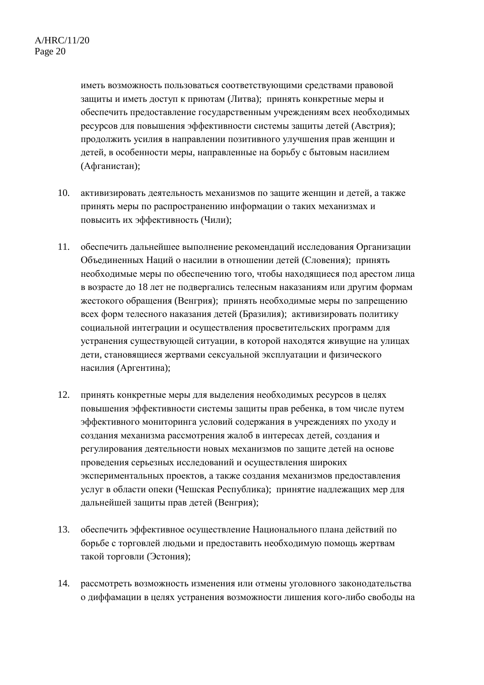иметь возможность пользоваться соответствующими средствами правовой защиты и иметь доступ к приютам (Литва); принять конкретные меры и обеспечить предоставление государственным учреждениям всех необходимых ресурсов для повышения эффективности системы защиты детей (Австрия); продолжить усилия в направлении позитивного улучшения прав женщин и детей, в особенности меры, направленные на борьбу с бытовым насилием (Афганистан);

- 10. активизировать деятельность механизмов по защите женщин и детей, а также принять меры по распространению информации о таких механизмах и повысить их эффективность (Чили);
- 11. обеспечить дальнейшее выполнение рекомендаций исследования Организации Объединенных Наций о насилии в отношении детей (Словения); принять необходимые меры по обеспечению того, чтобы находящиеся под арестом лица в возрасте до 18 лет не подвергались телесным наказаниям или другим формам жестокого обращения (Венгрия); принять необходимые меры по запрещению всех форм телесного наказания детей (Бразилия); активизировать политику социальной интеграции и осуществления просветительских программ для устранения существующей ситуации, в которой находятся живущие на улицах дети, становящиеся жертвами сексуальной эксплуатации и физического насилия (Аргентина);
- 12. принять конкретные меры для выделения необходимых ресурсов в целях повышения эффективности системы защиты прав ребенка, в том числе путем эффективного мониторинга условий содержания в учреждениях по уходу и создания механизма рассмотрения жалоб в интересах детей, создания и регулирования деятельности новых механизмов по защите детей на основе проведения серьезных исследований и осуществления широких экспериментальных проектов, а также создания механизмов предоставления услуг в области опеки (Чешская Республика); принятие надлежащих мер для дальнейшей защиты прав детей (Венгрия);
- 13. обеспечить эффективное осуществление Национального плана действий по борьбе с торговлей людьми и предоставить необходимую помощь жертвам такой торговли (Эстония);
- 14. рассмотреть возможность изменения или отмены уголовного законодательства о диффамации в целях устранения возможности лишения кого-либо свободы на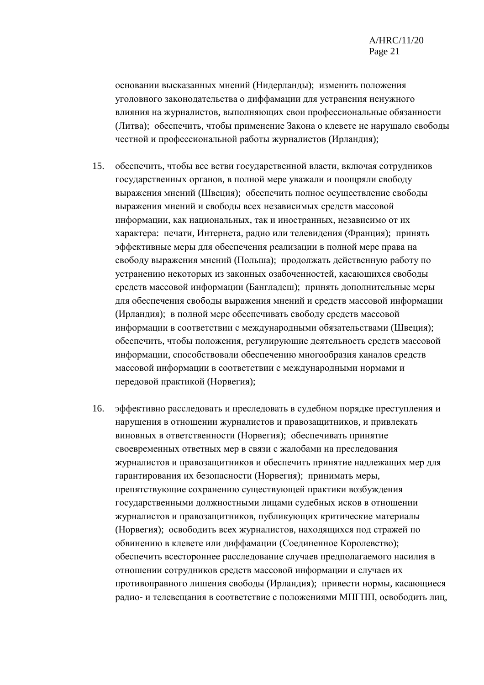основании высказанных мнений (Нидерланды); изменить положения уголовного законодательства о диффамации для устранения ненужного влияния на журналистов, выполняющих свои профессиональные обязанности (Литва); обеспечить, чтобы применение Закона о клевете не нарушало свободы честной и профессиональной работы журналистов (Ирландия);

- 15. обеспечить, чтобы все ветви государственной власти, включая сотрудников государственных органов, в полной мере уважали и поощряли свободу выражения мнений (Швеция); обеспечить полное осуществление свободы выражения мнений и свободы всех независимых средств массовой информации, как национальных, так и иностранных, независимо от их характера: печати, Интернета, радио или телевидения (Франция); принять эффективные меры для обеспечения реализации в полной мере права на свободу выражения мнений (Польша); продолжать действенную работу по устранению некоторых из законных озабоченностей, касающихся свободы средств массовой информации (Бангладеш); принять дополнительные меры для обеспечения свободы выражения мнений и средств массовой информации (Ирландия); в полной мере обеспечивать свободу средств массовой информации в соответствии с международными обязательствами (Швеция); обеспечить, чтобы положения, регулирующие деятельность средств массовой информации, способствовали обеспечению многообразия каналов средств массовой информации в соответствии с международными нормами и передовой практикой (Норвегия);
- 16. эффективно расследовать и преследовать в судебном порядке преступления и нарушения в отношении журналистов и правозащитников, и привлекать виновных в ответственности (Норвегия); обеспечивать принятие своевременных ответных мер в связи с жалобами на преследования журналистов и правозащитников и обеспечить принятие надлежащих мер для гарантирования их безопасности (Норвегия); принимать меры, препятствующие сохранению существующей практики возбуждения государственными должностными лицами судебных исков в отношении журналистов и правозащитников, публикующих критические материалы (Норвегия); освободить всех журналистов, находящихся под стражей по обвинению в клевете или диффамации (Соединенное Королевство); обеспечить всестороннее расследование случаев предполагаемого насилия в отношении сотрудников средств массовой информации и случаев их противоправного лишения свободы (Ирландия); привести нормы, касающиеся радио- и телевещания в соответствие с положениями МПГПП, освободить лиц,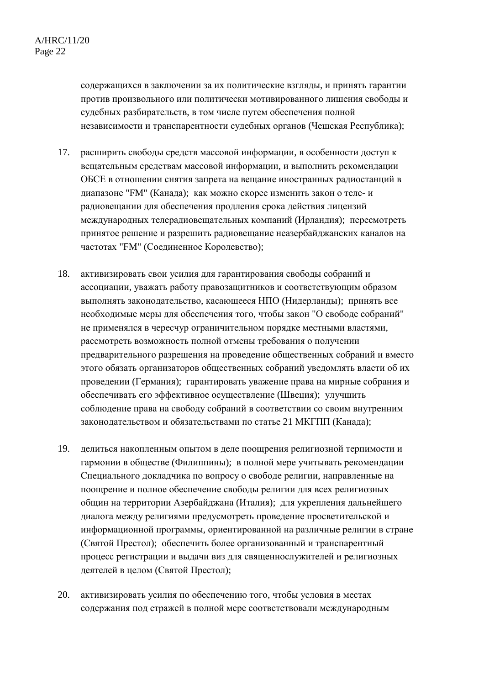содержащихся в заключении за их политические взгляды, и принять гарантии против произвольного или политически мотивированного лишения свободы и судебных разбирательств, в том числе путем обеспечения полной независимости и транспарентности судебных органов (Чешская Республика);

- 17. расширить свободы средств массовой информации, в особенности доступ к вещательным средствам массовой информации, и выполнить рекомендации ОБСЕ в отношении снятия запрета на вещание иностранных радиостанций в диапазоне "FM" (Канада); как можно скорее изменить закон о теле- и радиовещании для обеспечения продления срока действия лицензий международных телерадиовещательных компаний (Ирландия); пересмотреть принятое решение и разрешить радиовещание неазербайджанских каналов на частотах "FM" (Соединенное Королевство);
- 18. активизировать свои усилия для гарантирования свободы собраний и ассоциации, уважать работу правозащитников и соответствующим образом выполнять законодательство, касающееся НПО (Нидерланды); принять все необходимые меры для обеспечения того, чтобы закон "О свободе собраний" не применялся в чересчур ограничительном порядке местными властями, рассмотреть возможность полной отмены требования о получении предварительного разрешения на проведение общественных собраний и вместо этого обязать организаторов общественных собраний уведомлять власти об их проведении (Германия); гарантировать уважение права на мирные собрания и обеспечивать его эффективное осуществление (Швеция); улучшить соблюдение права на свободу собраний в соответствии со своим внутренним законодательством и обязательствами по статье 21 МКГПП (Канада);
- 19. делиться накопленным опытом в деле поощрения религиозной терпимости и гармонии в обществе (Филиппины); в полной мере учитывать рекомендации Специального докладчика по вопросу о свободе религии, направленные на поощрение и полное обеспечение свободы религии для всех религиозных общин на территории Азербайджана (Италия); для укрепления дальнейшего диалога между религиями предусмотреть проведение просветительской и информационной программы, ориентированной на различные религии в стране (Святой Престол); обеспечить более организованный и транспарентный процесс регистрации и выдачи виз для священнослужителей и религиозных деятелей в целом (Святой Престол);
- 20. активизировать усилия по обеспечению того, чтобы условия в местах содержания под стражей в полной мере соответствовали международным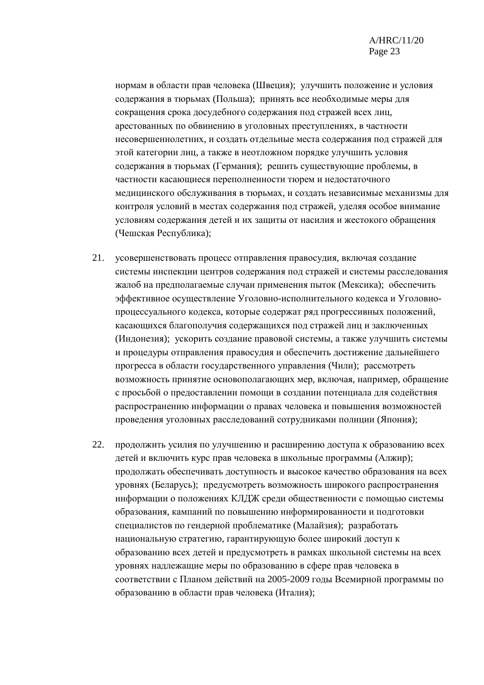нормам в области прав человека (Швеция); улучшить положение и условия содержания в тюрьмах (Польша); принять все необходимые меры для сокращения срока досудебного содержания под стражей всех лиц, арестованных по обвинению в уголовных преступлениях, в частности несовершеннолетних, и создать отдельные места содержания под стражей для этой категории лиц, а также в неотложном порядке улучшить условия содержания в тюрьмах (Германия); решить существующие проблемы, в частности касающиеся переполненности тюрем и недостаточного медицинского обслуживания в тюрьмах, и создать независимые механизмы для контроля условий в местах содержания под стражей, уделяя особое внимание условиям содержания детей и их защиты от насилия и жестокого обращения (Чешская Республика);

- 21. усовершенствовать процесс отправления правосудия, включая создание системы инспекции центров содержания под стражей и системы расследования жалоб на предполагаемые случаи применения пыток (Мексика); обеспечить эффективное осуществление Уголовно-исполнительного кодекса и Уголовнопроцессуального кодекса, которые содержат ряд прогрессивных положений, касающихся благополучия содержащихся под стражей лиц и заключенных (Индонезия); ускорить создание правовой системы, а также улучшить системы и процедуры отправления правосудия и обеспечить достижение дальнейшего прогресса в области государственного управления (Чили); рассмотреть возможность принятие основополагающих мер, включая, например, обращение с просьбой о предоставлении помощи в создании потенциала для содействия распространению информации о правах человека и повышения возможностей проведения уголовных расследований сотрудниками полиции (Япония);
- 22. продолжить усилия по улучшению и расширению доступа к образованию всех детей и включить курс прав человека в школьные программы (Алжир); продолжать обеспечивать доступность и высокое качество образования на всех уровнях (Беларусь); предусмотреть возможность широкого распространения информации о положениях КЛДЖ среди общественности с помощью системы образования, кампаний по повышению информированности и подготовки специалистов по гендерной проблематике (Малайзия); разработать национальную стратегию, гарантирующую более широкий доступ к образованию всех детей и предусмотреть в рамках школьной системы на всех уровнях надлежащие меры по образованию в сфере прав человека в соответствии с Планом действий на 2005-2009 годы Всемирной программы по образованию в области прав человека (Италия);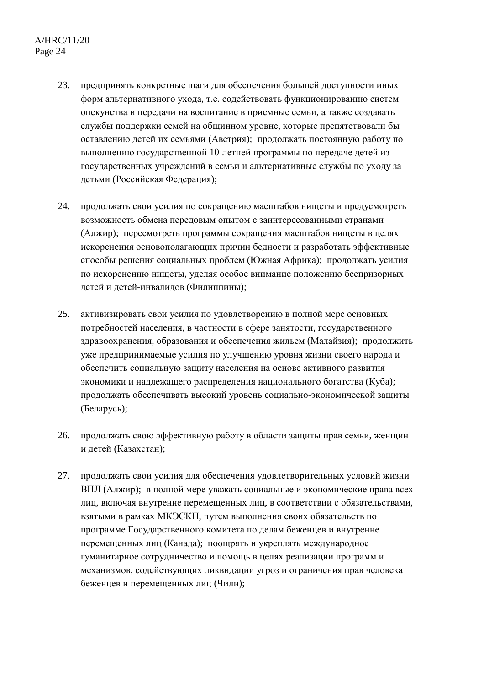- 23. предпринять конкретные шаги для обеспечения большей доступности иных форм альтернативного ухода, т.е. содействовать функционированию систем опекунства и передачи на воспитание в приемные семьи, а также создавать службы поддержки семей на общинном уровне, которые препятствовали бы оставлению детей их семьями (Австрия); продолжать постоянную работу по выполнению государственной 10-летней программы по передаче детей из государственных учреждений в семьи и альтернативные службы по уходу за детьми (Российская Федерация);
- 24. продолжать свои усилия по сокращению масштабов нищеты и предусмотреть возможность обмена передовым опытом с заинтересованными странами (Алжир); пересмотреть программы сокращения масштабов нищеты в целях искоренения основополагающих причин бедности и разработать эффективные способы решения социальных проблем (Южная Африка); продолжать усилия по искоренению нищеты, уделяя особое внимание положению беспризорных детей и детей-инвалидов (Филиппины);
- 25. активизировать свои усилия по удовлетворению в полной мере основных потребностей населения, в частности в сфере занятости, государственного здравоохранения, образования и обеспечения жильем (Малайзия); продолжить уже предпринимаемые усилия по улучшению уровня жизни своего народа и обеспечить социальную защиту населения на основе активного развития экономики и надлежащего распределения национального богатства (Куба); продолжать обеспечивать высокий уровень социально-экономической защиты (Беларусь);
- 26. продолжать свою эффективную работу в области защиты прав семьи, женщин и детей (Казахстан);
- 27. продолжать свои усилия для обеспечения удовлетворительных условий жизни ВПЛ (Алжир); в полной мере уважать социальные и экономические права всех лиц, включая внутренне перемещенных лиц, в соответствии с обязательствами, взятыми в рамках МКЭСКП, путем выполнения своих обязательств по программе Государственного комитета по делам беженцев и внутренне перемещенных лиц (Канада); поощрять и укреплять международное гуманитарное сотрудничество и помощь в целях реализации программ и механизмов, содействующих ликвидации угроз и ограничения прав человека беженцев и перемещенных лиц (Чили);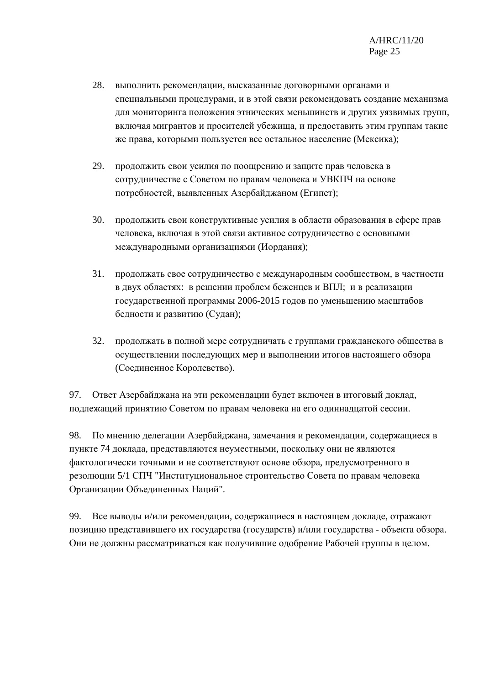- 28. выполнить рекомендации, высказанные договорными органами и специальными процедурами, и в этой связи рекомендовать создание механизма для мониторинга положения этнических меньшинств и других уязвимых групп, включая мигрантов и просителей убежища, и предоставить этим группам такие же права, которыми пользуется все остальное население (Мексика);
- 29. продолжить свои усилия по поощрению и защите прав человека в сотрудничестве с Советом по правам человека и УВКПЧ на основе потребностей, выявленных Азербайджаном (Египет);
- 30. продолжить свои конструктивные усилия в области образования в сфере прав человека, включая в этой связи активное сотрудничество с основными международными организациями (Иордания);
- 31. продолжать свое сотрудничество с международным сообществом, в частности в двух областях: в решении проблем беженцев и ВПЛ; и в реализации государственной программы 2006-2015 годов по уменьшению масштабов бедности и развитию (Судан);
- 32. продолжать в полной мере сотрудничать с группами гражданского общества в осуществлении последующих мер и выполнении итогов настоящего обзора (Соединенное Королевство).

97. Ответ Азербайджана на эти рекомендации будет включен в итоговый доклад, подлежащий принятию Советом по правам человека на его одиннадцатой сессии.

98. По мнению делегации Азербайджана, замечания и рекомендации, содержащиеся в пункте 74 доклада, представляются неуместными, поскольку они не являются фактологически точными и не соответствуют основе обзора, предусмотренного в резолюции 5/1 СПЧ "Институциональное строительство Совета по правам человека Организации Объединенных Наций".

99. Все выводы и/или рекомендации, содержащиеся в настоящем докладе, отражают позицию представившего их государства (государств) и/или государства - объекта обзора. Они не должны рассматриваться как получившие одобрение Рабочей группы в целом.